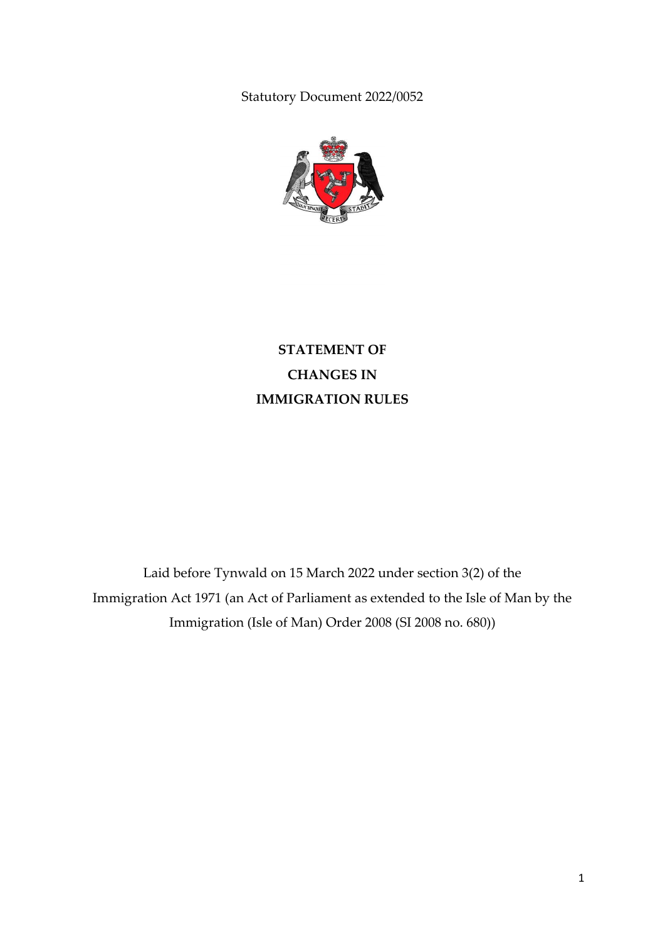Statutory Document 2022/0052



**STATEMENT OF CHANGES IN IMMIGRATION RULES**

Laid before Tynwald on 15 March 2022 under section 3(2) of the Immigration Act 1971 (an Act of Parliament as extended to the Isle of Man by the Immigration (Isle of Man) Order 2008 (SI 2008 no. 680))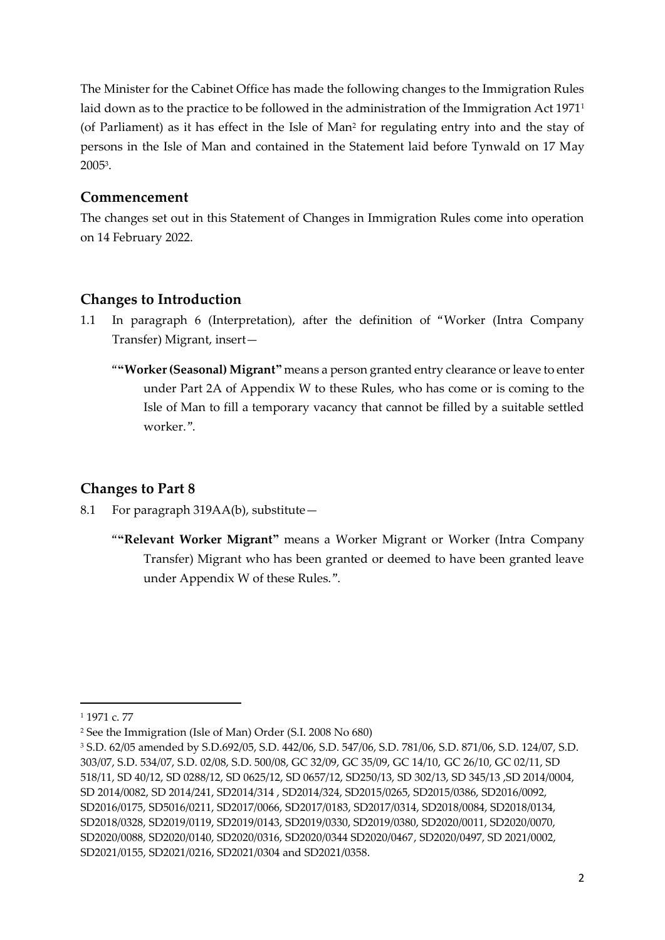The Minister for the Cabinet Office has made the following changes to the Immigration Rules laid down as to the practice to be followed in the administration of the Immigration Act 1971<sup>1</sup> (of Parliament) as it has effect in the Isle of Man<sup>2</sup> for regulating entry into and the stay of persons in the Isle of Man and contained in the Statement laid before Tynwald on 17 May 2005<sup>3</sup> .

## **Commencement**

The changes set out in this Statement of Changes in Immigration Rules come into operation on 14 February 2022.

# **Changes to Introduction**

- 1.1 In paragraph 6 (Interpretation), after the definition of "Worker (Intra Company Transfer) Migrant, insert—
	- "**"Worker (Seasonal) Migrant"** means a person granted entry clearance or leave to enter under Part 2A of Appendix W to these Rules, who has come or is coming to the Isle of Man to fill a temporary vacancy that cannot be filled by a suitable settled worker.".

# **Changes to Part 8**

- 8.1 For paragraph 319AA(b), substitute—
	- "**"Relevant Worker Migrant"** means a Worker Migrant or Worker (Intra Company Transfer) Migrant who has been granted or deemed to have been granted leave under Appendix W of these Rules.".

**.** 

<sup>1</sup> 1971 c. 77

<sup>2</sup> See the Immigration (Isle of Man) Order (S.I. 2008 No 680)

<sup>3</sup> S.D. 62/05 amended by S.D.692/05, S.D. 442/06, S.D. 547/06, S.D. 781/06, S.D. 871/06, S.D. 124/07, S.D. 303/07, S.D. 534/07, S.D. 02/08, S.D. 500/08, GC 32/09, GC 35/09, GC 14/10, GC 26/10, GC 02/11, SD 518/11, SD 40/12, SD 0288/12, SD 0625/12, SD 0657/12, SD250/13, SD 302/13, SD 345/13 ,SD 2014/0004, SD 2014/0082, SD 2014/241, SD2014/314 , SD2014/324, SD2015/0265, SD2015/0386, SD2016/0092, SD2016/0175, SD5016/0211, SD2017/0066, SD2017/0183, SD2017/0314, SD2018/0084, SD2018/0134, SD2018/0328, SD2019/0119, SD2019/0143, SD2019/0330, SD2019/0380, SD2020/0011, SD2020/0070, SD2020/0088, SD2020/0140, SD2020/0316, SD2020/0344 SD2020/0467, SD2020/0497, SD 2021/0002, SD2021/0155, SD2021/0216, SD2021/0304 and SD2021/0358.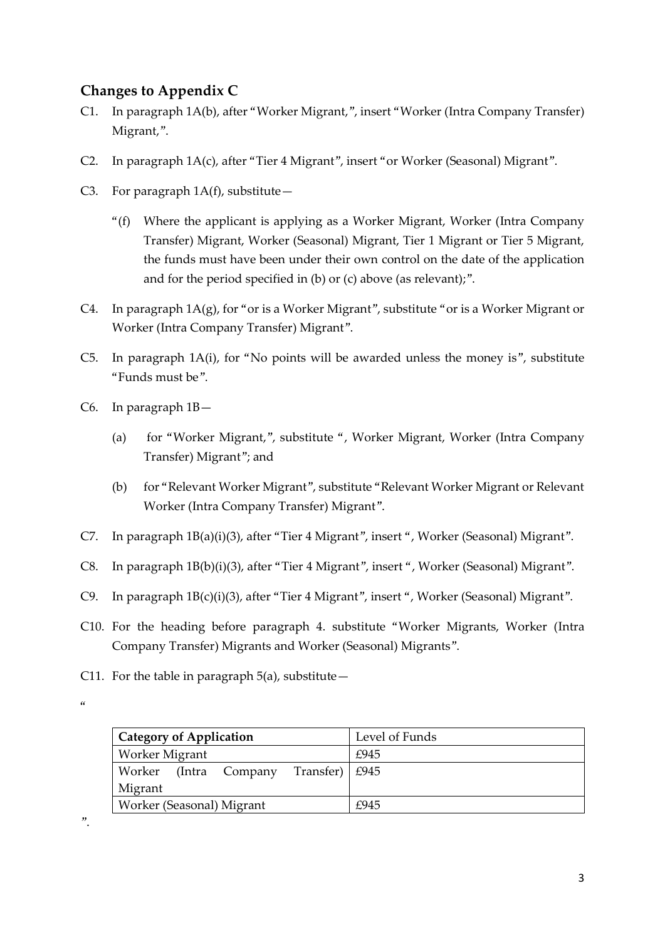# **Changes to Appendix C**

- C1. In paragraph 1A(b), after "Worker Migrant,", insert "Worker (Intra Company Transfer) Migrant,".
- C2. In paragraph 1A(c), after "Tier 4 Migrant", insert "or Worker (Seasonal) Migrant".
- C3. For paragraph  $1A(f)$ , substitute
	- "(f) Where the applicant is applying as a Worker Migrant, Worker (Intra Company Transfer) Migrant, Worker (Seasonal) Migrant, Tier 1 Migrant or Tier 5 Migrant, the funds must have been under their own control on the date of the application and for the period specified in (b) or (c) above (as relevant);".
- C4. In paragraph 1A(g), for "or is a Worker Migrant", substitute "or is a Worker Migrant or Worker (Intra Company Transfer) Migrant".
- C5. In paragraph 1A(i), for "No points will be awarded unless the money is", substitute "Funds must be".
- C6. In paragraph 1B—
	- (a) for "Worker Migrant,", substitute ", Worker Migrant, Worker (Intra Company Transfer) Migrant"; and
	- (b) for "Relevant Worker Migrant", substitute "Relevant Worker Migrant or Relevant Worker (Intra Company Transfer) Migrant".
- C7. In paragraph 1B(a)(i)(3), after "Tier 4 Migrant", insert ", Worker (Seasonal) Migrant".
- C8. In paragraph 1B(b)(i)(3), after "Tier 4 Migrant", insert ", Worker (Seasonal) Migrant".
- C9. In paragraph 1B(c)(i)(3), after "Tier 4 Migrant", insert ", Worker (Seasonal) Migrant".
- C10. For the heading before paragraph 4. substitute "Worker Migrants, Worker (Intra Company Transfer) Migrants and Worker (Seasonal) Migrants".
- C11. For the table in paragraph  $5(a)$ , substitute  $-$

 $^{\prime\prime}$ 

| <b>Category of Application</b>                 | Level of Funds |
|------------------------------------------------|----------------|
| Worker Migrant                                 | £945           |
| Transfer)   $£945$<br>Worker<br>(Intra Company |                |
| Migrant                                        |                |
| Worker (Seasonal) Migrant                      | £945           |

".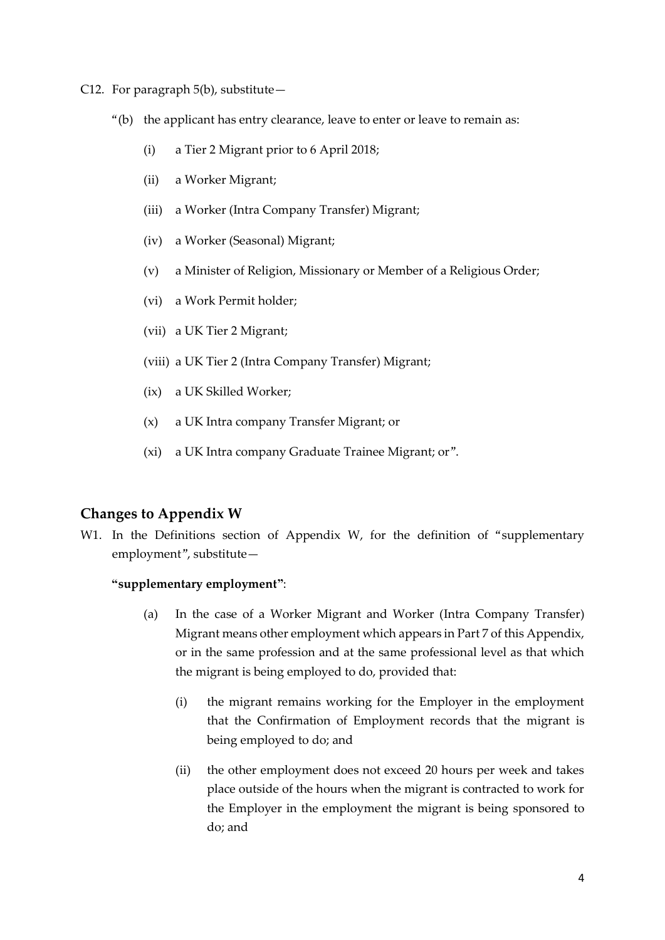- C12. For paragraph 5(b), substitute—
	- "(b) the applicant has entry clearance, leave to enter or leave to remain as:
		- (i) a Tier 2 Migrant prior to 6 April 2018;
		- (ii) a Worker Migrant;
		- (iii) a Worker (Intra Company Transfer) Migrant;
		- (iv) a Worker (Seasonal) Migrant;
		- (v) a Minister of Religion, Missionary or Member of a Religious Order;
		- (vi) a Work Permit holder;
		- (vii) a UK Tier 2 Migrant;
		- (viii) a UK Tier 2 (Intra Company Transfer) Migrant;
		- (ix) a UK Skilled Worker;
		- (x) a UK Intra company Transfer Migrant; or
		- (xi) a UK Intra company Graduate Trainee Migrant; or".

### **Changes to Appendix W**

W1. In the Definitions section of Appendix W, for the definition of "supplementary employment", substitute—

#### **"supplementary employment"**:

- (a) In the case of a Worker Migrant and Worker (Intra Company Transfer) Migrant means other employment which appears in Part 7 of this Appendix, or in the same profession and at the same professional level as that which the migrant is being employed to do, provided that:
	- (i) the migrant remains working for the Employer in the employment that the Confirmation of Employment records that the migrant is being employed to do; and
	- (ii) the other employment does not exceed 20 hours per week and takes place outside of the hours when the migrant is contracted to work for the Employer in the employment the migrant is being sponsored to do; and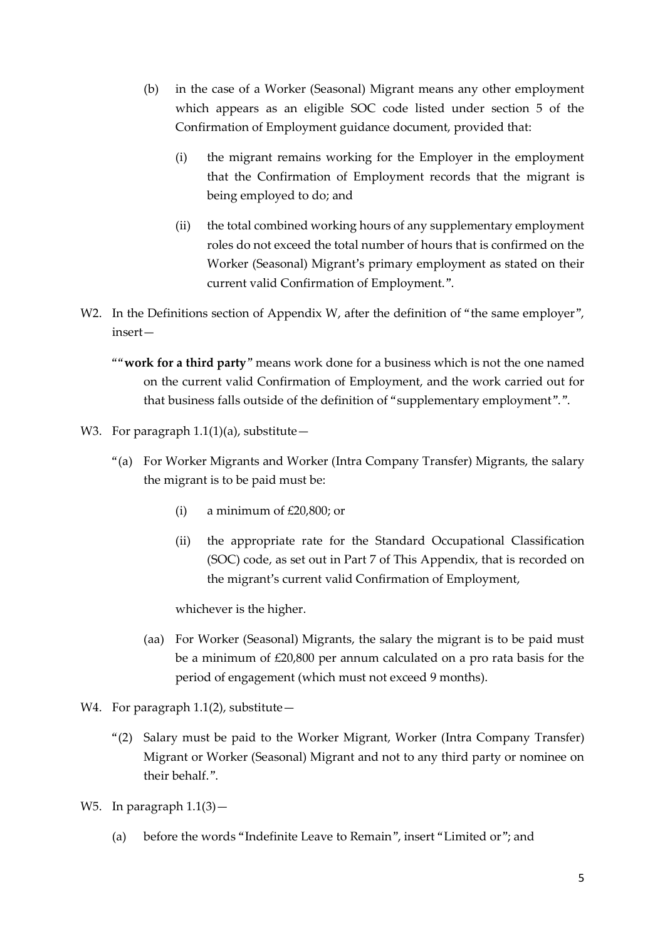- (b) in the case of a Worker (Seasonal) Migrant means any other employment which appears as an eligible SOC code listed under section 5 of the Confirmation of Employment guidance document, provided that:
	- (i) the migrant remains working for the Employer in the employment that the Confirmation of Employment records that the migrant is being employed to do; and
	- (ii) the total combined working hours of any supplementary employment roles do not exceed the total number of hours that is confirmed on the Worker (Seasonal) Migrant's primary employment as stated on their current valid Confirmation of Employment.".
- W2. In the Definitions section of Appendix W, after the definition of "the same employer", insert—
	- ""**work for a third party**" means work done for a business which is not the one named on the current valid Confirmation of Employment, and the work carried out for that business falls outside of the definition of "supplementary employment".".
- W3. For paragraph  $1.1(1)(a)$ , substitute -
	- "(a) For Worker Migrants and Worker (Intra Company Transfer) Migrants, the salary the migrant is to be paid must be:
		- (i) a minimum of  $£20,800$ ; or
		- (ii) the appropriate rate for the Standard Occupational Classification (SOC) code, as set out in Part 7 of This Appendix, that is recorded on the migrant's current valid Confirmation of Employment,

whichever is the higher.

- (aa) For Worker (Seasonal) Migrants, the salary the migrant is to be paid must be a minimum of £20,800 per annum calculated on a pro rata basis for the period of engagement (which must not exceed 9 months).
- W4. For paragraph  $1.1(2)$ , substitute -
	- "(2) Salary must be paid to the Worker Migrant, Worker (Intra Company Transfer) Migrant or Worker (Seasonal) Migrant and not to any third party or nominee on their behalf.".
- W5. In paragraph  $1.1(3)$  -
	- (a) before the words "Indefinite Leave to Remain", insert "Limited or"; and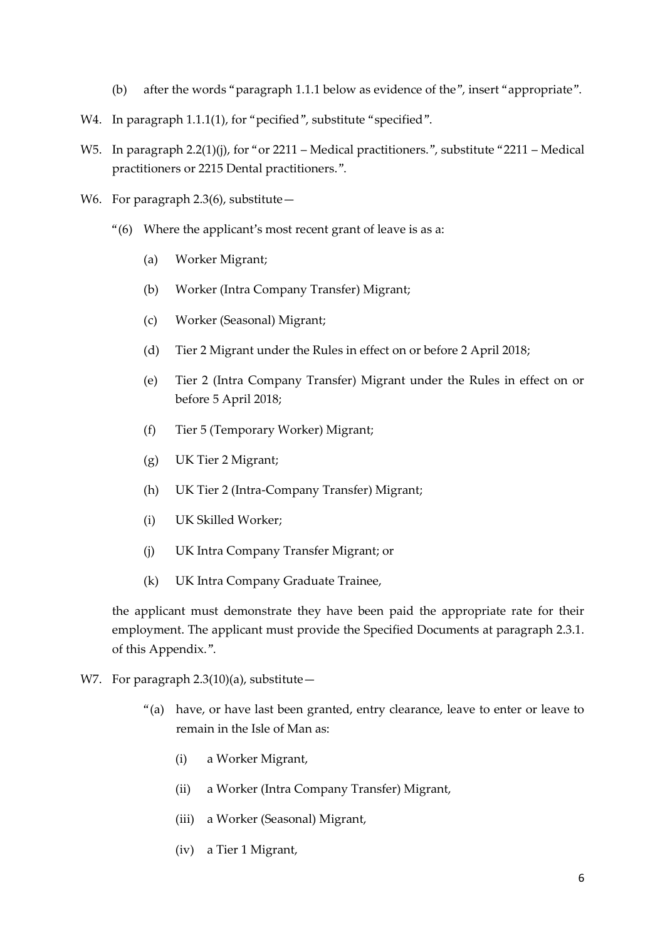- (b) after the words "paragraph 1.1.1 below as evidence of the", insert "appropriate".
- W4. In paragraph 1.1.1(1), for "pecified", substitute "specified".
- W5. In paragraph 2.2(1)(j), for "or 2211 Medical practitioners.", substitute "2211 Medical practitioners or 2215 Dental practitioners.".
- W6. For paragraph 2.3(6), substitute -
	- "(6) Where the applicant's most recent grant of leave is as a:
		- (a) Worker Migrant;
		- (b) Worker (Intra Company Transfer) Migrant;
		- (c) Worker (Seasonal) Migrant;
		- (d) Tier 2 Migrant under the Rules in effect on or before 2 April 2018;
		- (e) Tier 2 (Intra Company Transfer) Migrant under the Rules in effect on or before 5 April 2018;
		- (f) Tier 5 (Temporary Worker) Migrant;
		- (g) UK Tier 2 Migrant;
		- (h) UK Tier 2 (Intra-Company Transfer) Migrant;
		- (i) UK Skilled Worker;
		- (j) UK Intra Company Transfer Migrant; or
		- (k) UK Intra Company Graduate Trainee,

the applicant must demonstrate they have been paid the appropriate rate for their employment. The applicant must provide the Specified Documents at paragraph 2.3.1. of this Appendix.".

- W7. For paragraph  $2.3(10)(a)$ , substitute -
	- "(a) have, or have last been granted, entry clearance, leave to enter or leave to remain in the Isle of Man as:
		- (i) a Worker Migrant,
		- (ii) a Worker (Intra Company Transfer) Migrant,
		- (iii) a Worker (Seasonal) Migrant,
		- (iv) a Tier 1 Migrant,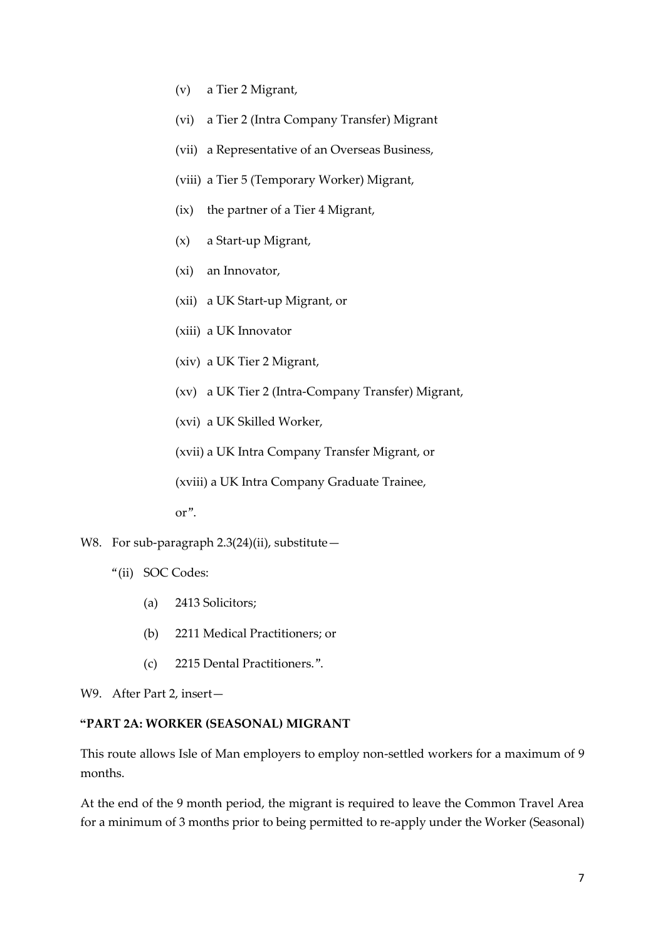- (v) a Tier 2 Migrant,
- (vi) a Tier 2 (Intra Company Transfer) Migrant
- (vii) a Representative of an Overseas Business,
- (viii) a Tier 5 (Temporary Worker) Migrant,
- (ix) the partner of a Tier 4 Migrant,
- (x) a Start-up Migrant,
- (xi) an Innovator,
- (xii) a UK Start-up Migrant, or
- (xiii) a UK Innovator
- (xiv) a UK Tier 2 Migrant,
- (xv) a UK Tier 2 (Intra-Company Transfer) Migrant,
- (xvi) a UK Skilled Worker,

(xvii) a UK Intra Company Transfer Migrant, or

(xviii) a UK Intra Company Graduate Trainee,

or".

- W8. For sub-paragraph  $2.3(24)$ (ii), substitute -
	- "(ii) SOC Codes:
		- (a) 2413 Solicitors;
		- (b) 2211 Medical Practitioners; or
		- (c) 2215 Dental Practitioners.".

W9. After Part 2, insert—

#### **"PART 2A: WORKER (SEASONAL) MIGRANT**

This route allows Isle of Man employers to employ non-settled workers for a maximum of 9 months.

At the end of the 9 month period, the migrant is required to leave the Common Travel Area for a minimum of 3 months prior to being permitted to re-apply under the Worker (Seasonal)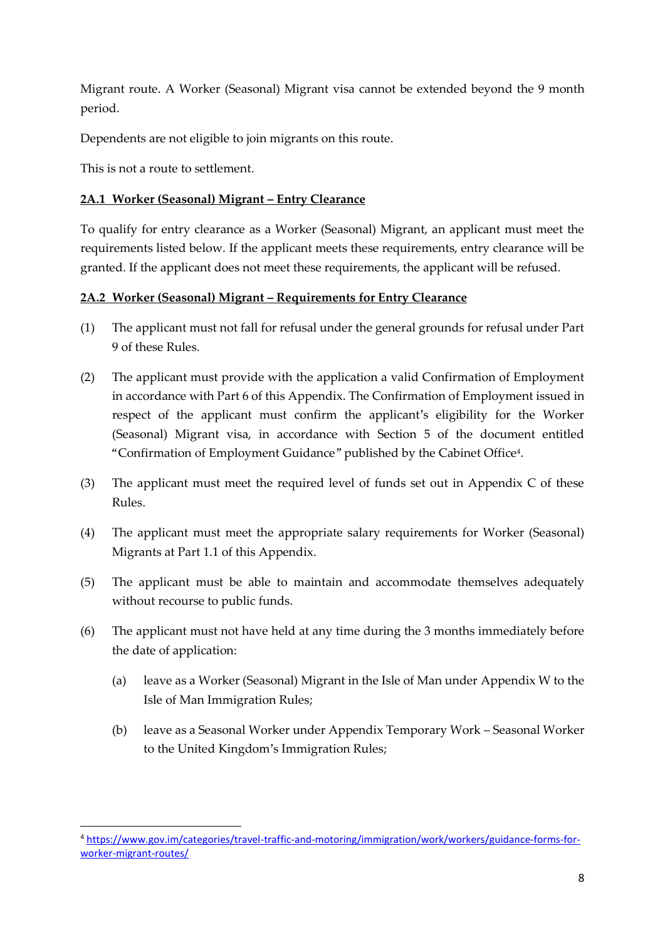Migrant route. A Worker (Seasonal) Migrant visa cannot be extended beyond the 9 month period.

Dependents are not eligible to join migrants on this route.

This is not a route to settlement.

## **2A.1 Worker (Seasonal) Migrant – Entry Clearance**

To qualify for entry clearance as a Worker (Seasonal) Migrant, an applicant must meet the requirements listed below. If the applicant meets these requirements, entry clearance will be granted. If the applicant does not meet these requirements, the applicant will be refused.

## **2A.2 Worker (Seasonal) Migrant – Requirements for Entry Clearance**

- (1) The applicant must not fall for refusal under the general grounds for refusal under Part 9 of these Rules.
- (2) The applicant must provide with the application a valid Confirmation of Employment in accordance with Part 6 of this Appendix. The Confirmation of Employment issued in respect of the applicant must confirm the applicant's eligibility for the Worker (Seasonal) Migrant visa, in accordance with Section 5 of the document entitled "Confirmation of Employment Guidance" published by the Cabinet Office<sup>4</sup> .
- (3) The applicant must meet the required level of funds set out in Appendix C of these Rules.
- (4) The applicant must meet the appropriate salary requirements for Worker (Seasonal) Migrants at Part 1.1 of this Appendix.
- (5) The applicant must be able to maintain and accommodate themselves adequately without recourse to public funds.
- (6) The applicant must not have held at any time during the 3 months immediately before the date of application:
	- (a) leave as a Worker (Seasonal) Migrant in the Isle of Man under Appendix W to the Isle of Man Immigration Rules;
	- (b) leave as a Seasonal Worker under Appendix Temporary Work Seasonal Worker to the United Kingdom's Immigration Rules;

<sup>1</sup> <sup>4</sup> [https://www.gov.im/categories/travel-traffic-and-motoring/immigration/work/workers/guidance-forms-for](https://www.gov.im/categories/travel-traffic-and-motoring/immigration/work/workers/guidance-forms-for-worker-migrant-routes/)[worker-migrant-routes/](https://www.gov.im/categories/travel-traffic-and-motoring/immigration/work/workers/guidance-forms-for-worker-migrant-routes/)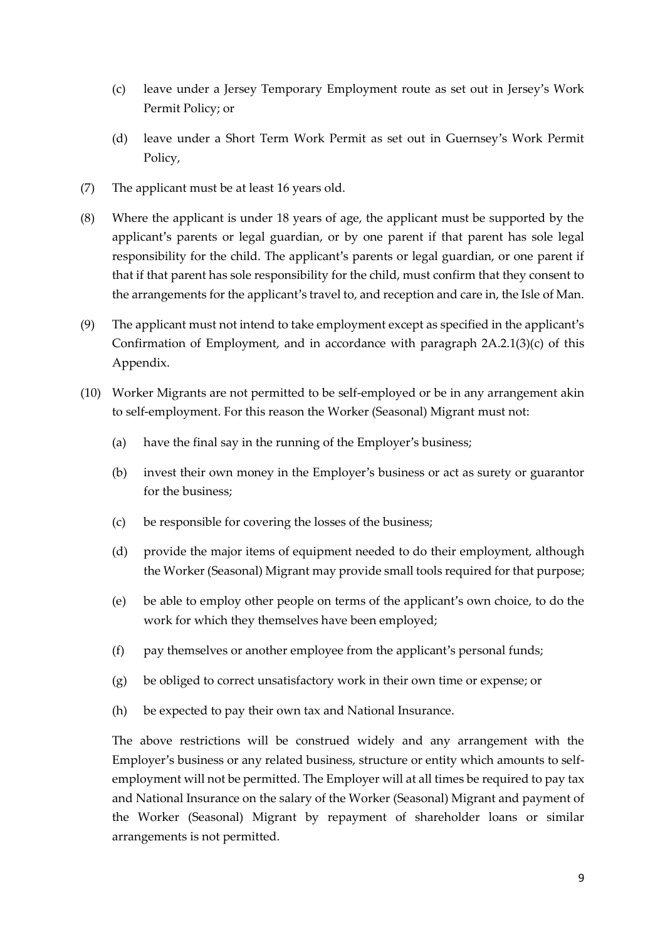- (c) leave under a Jersey Temporary Employment route as set out in Jersey's Work Permit Policy; or
- (d) leave under a Short Term Work Permit as set out in Guernsey's Work Permit Policy,
- (7) The applicant must be at least 16 years old.
- (8) Where the applicant is under 18 years of age, the applicant must be supported by the applicant's parents or legal guardian, or by one parent if that parent has sole legal responsibility for the child. The applicant's parents or legal guardian, or one parent if that if that parent has sole responsibility for the child, must confirm that they consent to the arrangements for the applicant's travel to, and reception and care in, the Isle of Man.
- (9) The applicant must not intend to take employment except as specified in the applicant's Confirmation of Employment, and in accordance with paragraph 2A.2.1(3)(c) of this Appendix.
- (10) Worker Migrants are not permitted to be self-employed or be in any arrangement akin to self-employment. For this reason the Worker (Seasonal) Migrant must not:
	- (a) have the final say in the running of the Employer's business;
	- (b) invest their own money in the Employer's business or act as surety or guarantor for the business;
	- (c) be responsible for covering the losses of the business;
	- (d) provide the major items of equipment needed to do their employment, although the Worker (Seasonal) Migrant may provide small tools required for that purpose;
	- (e) be able to employ other people on terms of the applicant's own choice, to do the work for which they themselves have been employed;
	- (f) pay themselves or another employee from the applicant's personal funds;
	- (g) be obliged to correct unsatisfactory work in their own time or expense; or
	- (h) be expected to pay their own tax and National Insurance.

The above restrictions will be construed widely and any arrangement with the Employer's business or any related business, structure or entity which amounts to selfemployment will not be permitted. The Employer will at all times be required to pay tax and National Insurance on the salary of the Worker (Seasonal) Migrant and payment of the Worker (Seasonal) Migrant by repayment of shareholder loans or similar arrangements is not permitted.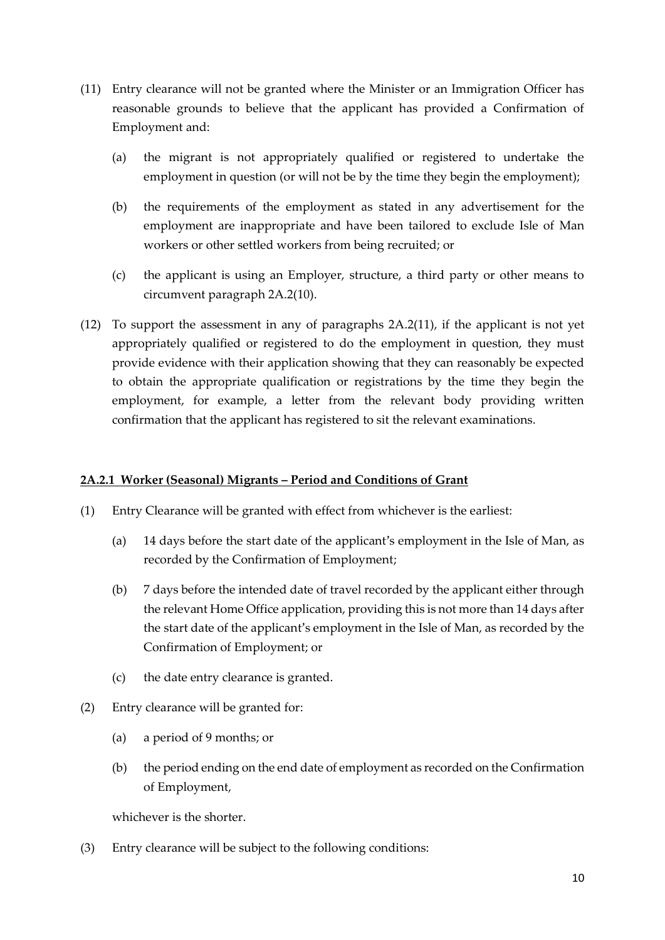- (11) Entry clearance will not be granted where the Minister or an Immigration Officer has reasonable grounds to believe that the applicant has provided a Confirmation of Employment and:
	- (a) the migrant is not appropriately qualified or registered to undertake the employment in question (or will not be by the time they begin the employment);
	- (b) the requirements of the employment as stated in any advertisement for the employment are inappropriate and have been tailored to exclude Isle of Man workers or other settled workers from being recruited; or
	- (c) the applicant is using an Employer, structure, a third party or other means to circumvent paragraph 2A.2(10).
- (12) To support the assessment in any of paragraphs 2A.2(11), if the applicant is not yet appropriately qualified or registered to do the employment in question, they must provide evidence with their application showing that they can reasonably be expected to obtain the appropriate qualification or registrations by the time they begin the employment, for example, a letter from the relevant body providing written confirmation that the applicant has registered to sit the relevant examinations.

#### **2A.2.1 Worker (Seasonal) Migrants – Period and Conditions of Grant**

- (1) Entry Clearance will be granted with effect from whichever is the earliest:
	- (a) 14 days before the start date of the applicant's employment in the Isle of Man, as recorded by the Confirmation of Employment;
	- (b) 7 days before the intended date of travel recorded by the applicant either through the relevant Home Office application, providing this is not more than 14 days after the start date of the applicant's employment in the Isle of Man, as recorded by the Confirmation of Employment; or
	- (c) the date entry clearance is granted.
- (2) Entry clearance will be granted for:
	- (a) a period of 9 months; or
	- (b) the period ending on the end date of employment as recorded on the Confirmation of Employment,

whichever is the shorter.

(3) Entry clearance will be subject to the following conditions: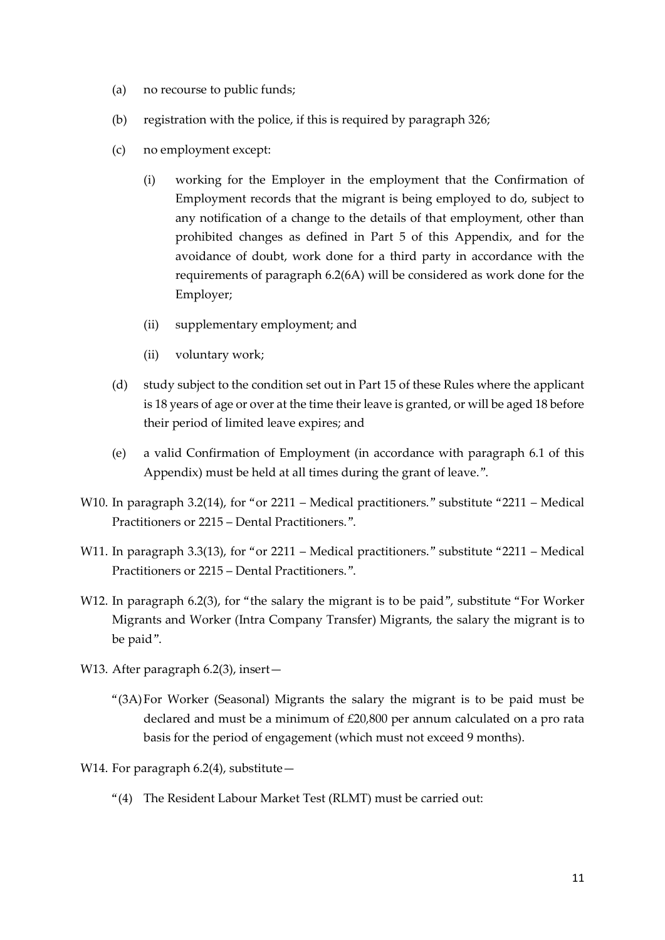- (a) no recourse to public funds;
- (b) registration with the police, if this is required by paragraph 326;
- (c) no employment except:
	- (i) working for the Employer in the employment that the Confirmation of Employment records that the migrant is being employed to do, subject to any notification of a change to the details of that employment, other than prohibited changes as defined in Part 5 of this Appendix, and for the avoidance of doubt, work done for a third party in accordance with the requirements of paragraph 6.2(6A) will be considered as work done for the Employer;
	- (ii) supplementary employment; and
	- (ii) voluntary work;
- (d) study subject to the condition set out in Part 15 of these Rules where the applicant is 18 years of age or over at the time their leave is granted, or will be aged 18 before their period of limited leave expires; and
- (e) a valid Confirmation of Employment (in accordance with paragraph 6.1 of this Appendix) must be held at all times during the grant of leave.".
- W10. In paragraph 3.2(14), for "or 2211 Medical practitioners." substitute "2211 Medical Practitioners or 2215 – Dental Practitioners.".
- W11. In paragraph 3.3(13), for "or 2211 Medical practitioners." substitute "2211 Medical Practitioners or 2215 – Dental Practitioners.".
- W12. In paragraph 6.2(3), for "the salary the migrant is to be paid", substitute "For Worker Migrants and Worker (Intra Company Transfer) Migrants, the salary the migrant is to be paid".
- W13. After paragraph 6.2(3), insert-
	- "(3A)For Worker (Seasonal) Migrants the salary the migrant is to be paid must be declared and must be a minimum of £20,800 per annum calculated on a pro rata basis for the period of engagement (which must not exceed 9 months).
- W14. For paragraph  $6.2(4)$ , substitute -
	- "(4) The Resident Labour Market Test (RLMT) must be carried out: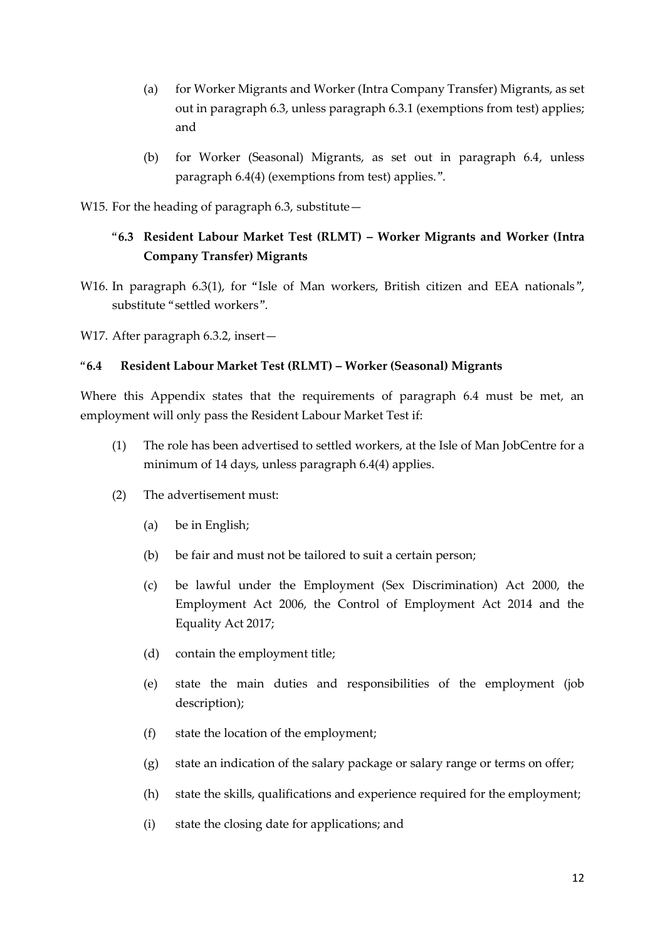- (a) for Worker Migrants and Worker (Intra Company Transfer) Migrants, as set out in paragraph 6.3, unless paragraph 6.3.1 (exemptions from test) applies; and
- (b) for Worker (Seasonal) Migrants, as set out in paragraph 6.4, unless paragraph 6.4(4) (exemptions from test) applies.".
- W15. For the heading of paragraph  $6.3$ , substitute  $-$

## "**6.3 Resident Labour Market Test (RLMT) – Worker Migrants and Worker (Intra Company Transfer) Migrants**

W16. In paragraph 6.3(1), for "Isle of Man workers, British citizen and EEA nationals", substitute "settled workers".

W17. After paragraph 6.3.2, insert-

#### "**6.4 Resident Labour Market Test (RLMT) – Worker (Seasonal) Migrants**

Where this Appendix states that the requirements of paragraph 6.4 must be met, an employment will only pass the Resident Labour Market Test if:

- (1) The role has been advertised to settled workers, at the Isle of Man JobCentre for a minimum of 14 days, unless paragraph 6.4(4) applies.
- (2) The advertisement must:
	- (a) be in English;
	- (b) be fair and must not be tailored to suit a certain person;
	- (c) be lawful under the Employment (Sex Discrimination) Act 2000, the Employment Act 2006, the Control of Employment Act 2014 and the Equality Act 2017;
	- (d) contain the employment title;
	- (e) state the main duties and responsibilities of the employment (job description);
	- (f) state the location of the employment;
	- (g) state an indication of the salary package or salary range or terms on offer;
	- (h) state the skills, qualifications and experience required for the employment;
	- (i) state the closing date for applications; and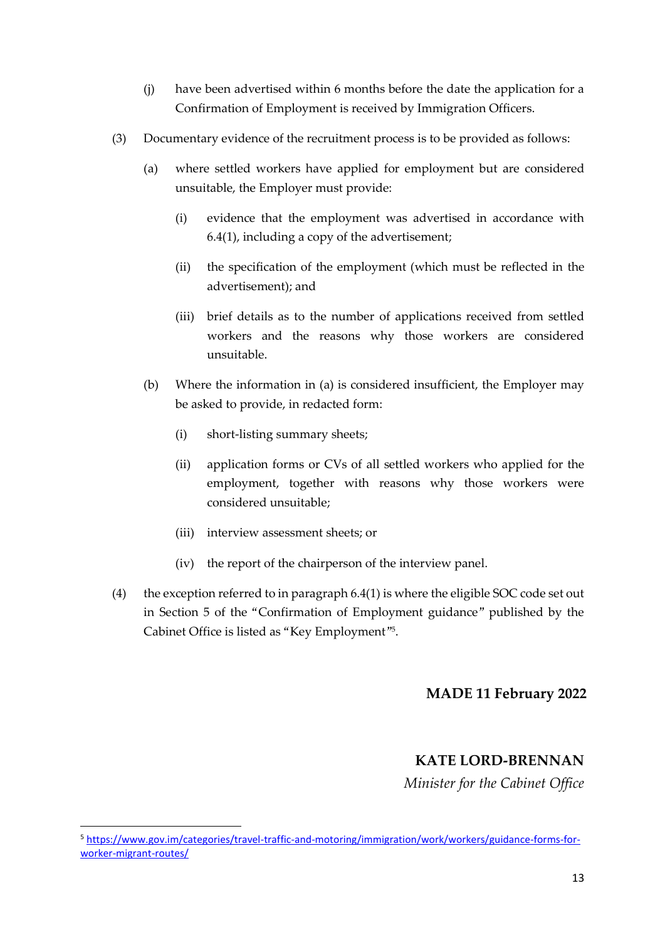- (j) have been advertised within 6 months before the date the application for a Confirmation of Employment is received by Immigration Officers.
- (3) Documentary evidence of the recruitment process is to be provided as follows:
	- (a) where settled workers have applied for employment but are considered unsuitable, the Employer must provide:
		- (i) evidence that the employment was advertised in accordance with 6.4(1), including a copy of the advertisement;
		- (ii) the specification of the employment (which must be reflected in the advertisement); and
		- (iii) brief details as to the number of applications received from settled workers and the reasons why those workers are considered unsuitable.
	- (b) Where the information in (a) is considered insufficient, the Employer may be asked to provide, in redacted form:
		- (i) short-listing summary sheets;
		- (ii) application forms or CVs of all settled workers who applied for the employment, together with reasons why those workers were considered unsuitable;
		- (iii) interview assessment sheets; or
		- (iv) the report of the chairperson of the interview panel.
- (4) the exception referred to in paragraph 6.4(1) is where the eligible SOC code set out in Section 5 of the "Confirmation of Employment guidance" published by the Cabinet Office is listed as "Key Employment"<sup>5</sup> .

## **MADE 11 February 2022**

## **KATE LORD-BRENNAN**

*Minister for the Cabinet Office*

1

<sup>5</sup> [https://www.gov.im/categories/travel-traffic-and-motoring/immigration/work/workers/guidance-forms-for](https://www.gov.im/categories/travel-traffic-and-motoring/immigration/work/workers/guidance-forms-for-worker-migrant-routes/)[worker-migrant-routes/](https://www.gov.im/categories/travel-traffic-and-motoring/immigration/work/workers/guidance-forms-for-worker-migrant-routes/)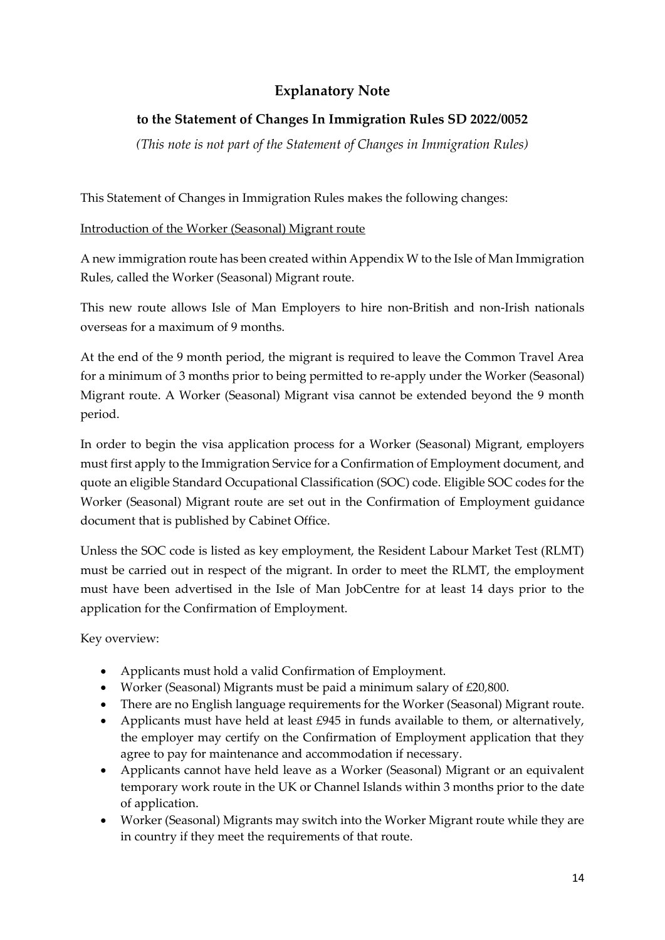# **Explanatory Note**

# **to the Statement of Changes In Immigration Rules SD 2022/0052**

*(This note is not part of the Statement of Changes in Immigration Rules)*

This Statement of Changes in Immigration Rules makes the following changes:

## Introduction of the Worker (Seasonal) Migrant route

A new immigration route has been created within Appendix W to the Isle of Man Immigration Rules, called the Worker (Seasonal) Migrant route.

This new route allows Isle of Man Employers to hire non-British and non-Irish nationals overseas for a maximum of 9 months.

At the end of the 9 month period, the migrant is required to leave the Common Travel Area for a minimum of 3 months prior to being permitted to re-apply under the Worker (Seasonal) Migrant route. A Worker (Seasonal) Migrant visa cannot be extended beyond the 9 month period.

In order to begin the visa application process for a Worker (Seasonal) Migrant, employers must first apply to the Immigration Service for a Confirmation of Employment document, and quote an eligible Standard Occupational Classification (SOC) code. Eligible SOC codes for the Worker (Seasonal) Migrant route are set out in the Confirmation of Employment guidance document that is published by Cabinet Office.

Unless the SOC code is listed as key employment, the Resident Labour Market Test (RLMT) must be carried out in respect of the migrant. In order to meet the RLMT, the employment must have been advertised in the Isle of Man JobCentre for at least 14 days prior to the application for the Confirmation of Employment.

Key overview:

- Applicants must hold a valid Confirmation of Employment.
- Worker (Seasonal) Migrants must be paid a minimum salary of £20,800.
- There are no English language requirements for the Worker (Seasonal) Migrant route.
- Applicants must have held at least £945 in funds available to them, or alternatively, the employer may certify on the Confirmation of Employment application that they agree to pay for maintenance and accommodation if necessary.
- Applicants cannot have held leave as a Worker (Seasonal) Migrant or an equivalent temporary work route in the UK or Channel Islands within 3 months prior to the date of application.
- Worker (Seasonal) Migrants may switch into the Worker Migrant route while they are in country if they meet the requirements of that route.